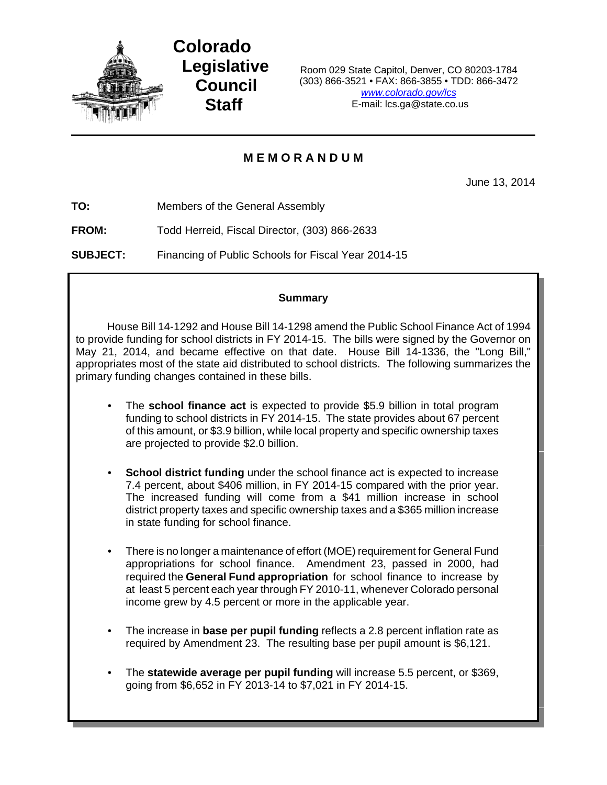

**Colorado Legislative Council Staff**

Room 029 State Capitol, Denver, CO 80203-1784 (303) 866-3521 • FAX: 866-3855 • TDD: 866-3472 *www.colorado.gov/lcs* E-mail: lcs.ga@state.co.us

# **M E M O R A N D U M**

June 13, 2014

**TO:** Members of the General Assembly

**FROM:** Todd Herreid, Fiscal Director, (303) 866-2633

**SUBJECT:** Financing of Public Schools for Fiscal Year 2014-15

## **Summary**

House Bill 14-1292 and House Bill 14-1298 amend the Public School Finance Act of 1994 to provide funding for school districts in FY 2014-15. The bills were signed by the Governor on May 21, 2014, and became effective on that date. House Bill 14-1336, the "Long Bill," appropriates most of the state aid distributed to school districts. The following summarizes the primary funding changes contained in these bills.

- The **school finance act** is expected to provide \$5.9 billion in total program funding to school districts in FY 2014-15. The state provides about 67 percent of this amount, or \$3.9 billion, while local property and specific ownership taxes are projected to provide \$2.0 billion.
- **School district funding** under the school finance act is expected to increase 7.4 percent, about \$406 million, in FY 2014-15 compared with the prior year. The increased funding will come from a \$41 million increase in school district property taxes and specific ownership taxes and a \$365 million increase in state funding for school finance.
- There is no longer a maintenance of effort (MOE) requirement for General Fund appropriations for school finance. Amendment 23, passed in 2000, had required the **General Fund appropriation** for school finance to increase by at least 5 percent each year through FY 2010-11, whenever Colorado personal income grew by 4.5 percent or more in the applicable year.
- The increase in **base per pupil funding** reflects a 2.8 percent inflation rate as required by Amendment 23. The resulting base per pupil amount is \$6,121.
- The **statewide average per pupil funding** will increase 5.5 percent, or \$369, going from \$6,652 in FY 2013-14 to \$7,021 in FY 2014-15.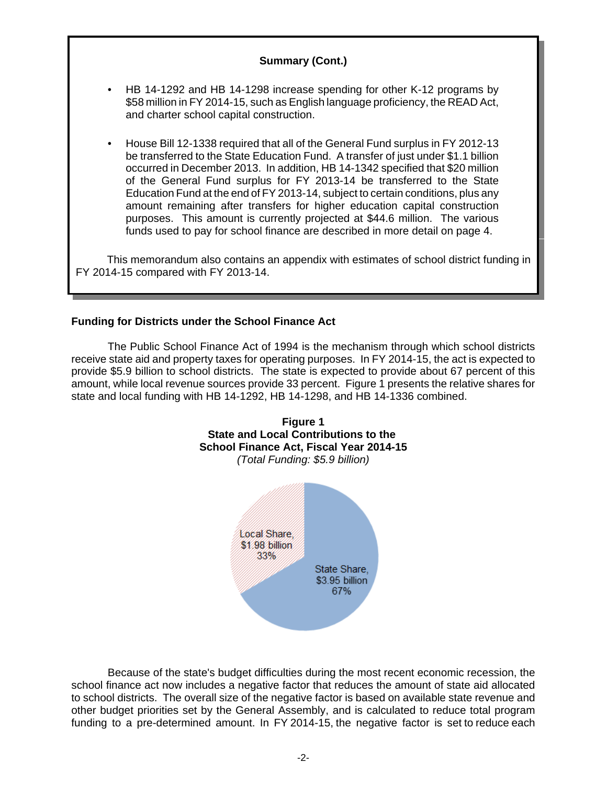## **Summary (Cont.)**

- HB 14-1292 and HB 14-1298 increase spending for other K-12 programs by \$58 million in FY 2014-15, such as English language proficiency, the READ Act, and charter school capital construction.
- House Bill 12-1338 required that all of the General Fund surplus in FY 2012-13 be transferred to the State Education Fund. A transfer of just under \$1.1 billion occurred in December 2013. In addition, HB 14-1342 specified that \$20 million of the General Fund surplus for FY 2013-14 be transferred to the State Education Fund at the end of FY 2013-14, subject to certain conditions, plus any amount remaining after transfers for higher education capital construction purposes. This amount is currently projected at \$44.6 million. The various funds used to pay for school finance are described in more detail on page 4.

This memorandum also contains an appendix with estimates of school district funding in FY 2014-15 compared with FY 2013-14.

## **Funding for Districts under the School Finance Act**

The Public School Finance Act of 1994 is the mechanism through which school districts receive state aid and property taxes for operating purposes. In FY 2014-15, the act is expected to provide \$5.9 billion to school districts. The state is expected to provide about 67 percent of this amount, while local revenue sources provide 33 percent. Figure 1 presents the relative shares for state and local funding with HB 14-1292, HB 14-1298, and HB 14-1336 combined.



Because of the state's budget difficulties during the most recent economic recession, the school finance act now includes a negative factor that reduces the amount of state aid allocated to school districts. The overall size of the negative factor is based on available state revenue and other budget priorities set by the General Assembly, and is calculated to reduce total program funding to a pre-determined amount. In FY 2014-15, the negative factor is set to reduce each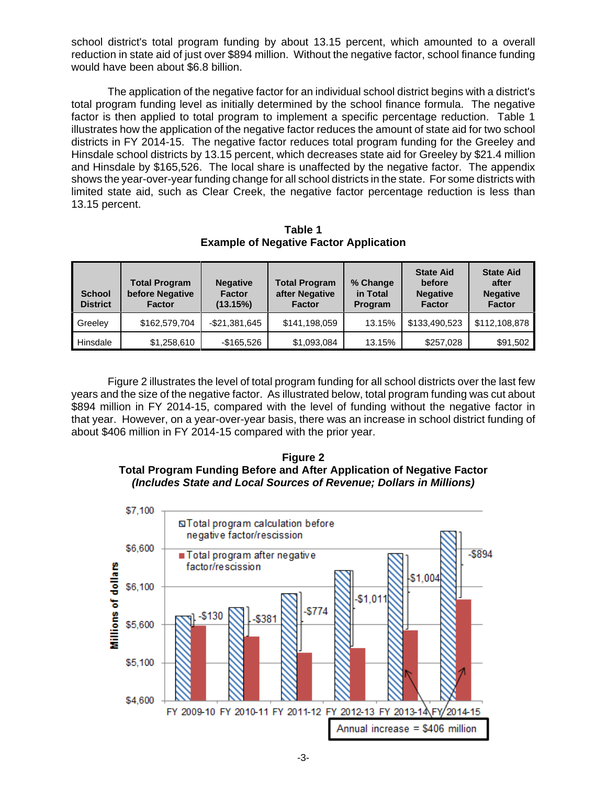school district's total program funding by about 13.15 percent, which amounted to a overall reduction in state aid of just over \$894 million. Without the negative factor, school finance funding would have been about \$6.8 billion.

The application of the negative factor for an individual school district begins with a district's total program funding level as initially determined by the school finance formula. The negative factor is then applied to total program to implement a specific percentage reduction. Table 1 illustrates how the application of the negative factor reduces the amount of state aid for two school districts in FY 2014-15. The negative factor reduces total program funding for the Greeley and Hinsdale school districts by 13.15 percent, which decreases state aid for Greeley by \$21.4 million and Hinsdale by \$165,526. The local share is unaffected by the negative factor. The appendix shows the year-over-year funding change for all school districts in the state. For some districts with limited state aid, such as Clear Creek, the negative factor percentage reduction is less than 13.15 percent.

**Table 1 Example of Negative Factor Application**

| <b>School</b><br><b>District</b> | <b>Total Program</b><br>before Negative<br><b>Factor</b> | <b>Negative</b><br><b>Factor</b><br>(13.15%) | <b>Total Program</b><br>after Negative<br><b>Factor</b> | % Change<br>in Total<br>Program | <b>State Aid</b><br>before<br><b>Negative</b><br><b>Factor</b> | <b>State Aid</b><br>after<br><b>Negative</b><br><b>Factor</b> |  |
|----------------------------------|----------------------------------------------------------|----------------------------------------------|---------------------------------------------------------|---------------------------------|----------------------------------------------------------------|---------------------------------------------------------------|--|
| Greeley                          | \$162,579,704                                            | $-$21,381,645$                               | \$141,198,059                                           | 13.15%                          | \$133,490,523                                                  | \$112,108,878                                                 |  |
| Hinsdale                         | \$1,258,610                                              | -\$165,526                                   | \$1,093,084                                             | 13.15%                          | \$257,028                                                      | \$91,502                                                      |  |

Figure 2 illustrates the level of total program funding for all school districts over the last few years and the size of the negative factor. As illustrated below, total program funding was cut about \$894 million in FY 2014-15, compared with the level of funding without the negative factor in that year. However, on a year-over-year basis, there was an increase in school district funding of about \$406 million in FY 2014-15 compared with the prior year.

**Figure 2 Total Program Funding Before and After Application of Negative Factor** *(Includes State and Local Sources of Revenue; Dollars in Millions)*

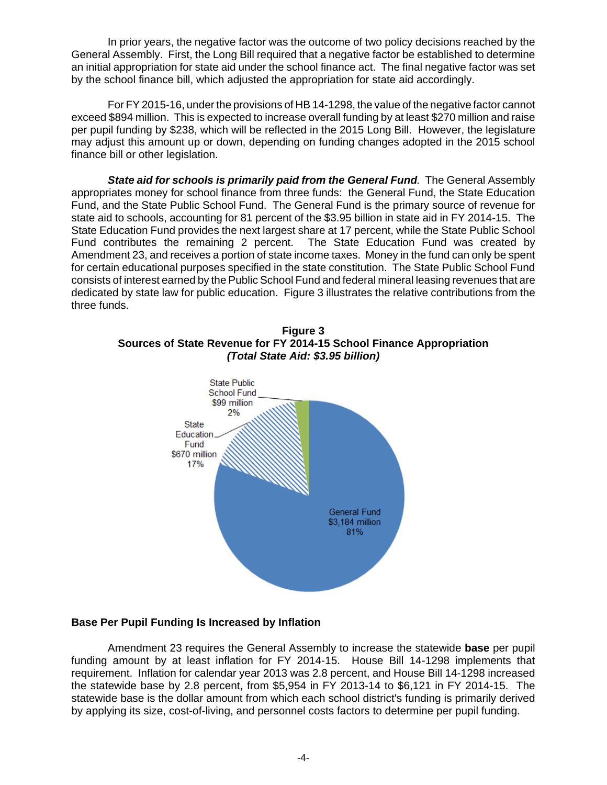In prior years, the negative factor was the outcome of two policy decisions reached by the General Assembly. First, the Long Bill required that a negative factor be established to determine an initial appropriation for state aid under the school finance act. The final negative factor was set by the school finance bill, which adjusted the appropriation for state aid accordingly.

For FY 2015-16, under the provisions of HB 14-1298, the value of the negative factor cannot exceed \$894 million. This is expected to increase overall funding by at least \$270 million and raise per pupil funding by \$238, which will be reflected in the 2015 Long Bill. However, the legislature may adjust this amount up or down, depending on funding changes adopted in the 2015 school finance bill or other legislation.

*State aid for schools is primarily paid from the General Fund.* The General Assembly appropriates money for school finance from three funds: the General Fund, the State Education Fund, and the State Public School Fund. The General Fund is the primary source of revenue for state aid to schools, accounting for 81 percent of the \$3.95 billion in state aid in FY 2014-15. The State Education Fund provides the next largest share at 17 percent, while the State Public School Fund contributes the remaining 2 percent. The State Education Fund was created by Amendment 23, and receives a portion of state income taxes. Money in the fund can only be spent for certain educational purposes specified in the state constitution. The State Public School Fund consists of interest earned by the Public School Fund and federal mineral leasing revenues that are dedicated by state law for public education. Figure 3 illustrates the relative contributions from the three funds.





## **Base Per Pupil Funding Is Increased by Inflation**

Amendment 23 requires the General Assembly to increase the statewide **base** per pupil funding amount by at least inflation for FY 2014-15. House Bill 14-1298 implements that requirement. Inflation for calendar year 2013 was 2.8 percent, and House Bill 14-1298 increased the statewide base by 2.8 percent, from \$5,954 in FY 2013-14 to \$6,121 in FY 2014-15. The statewide base is the dollar amount from which each school district's funding is primarily derived by applying its size, cost-of-living, and personnel costs factors to determine per pupil funding.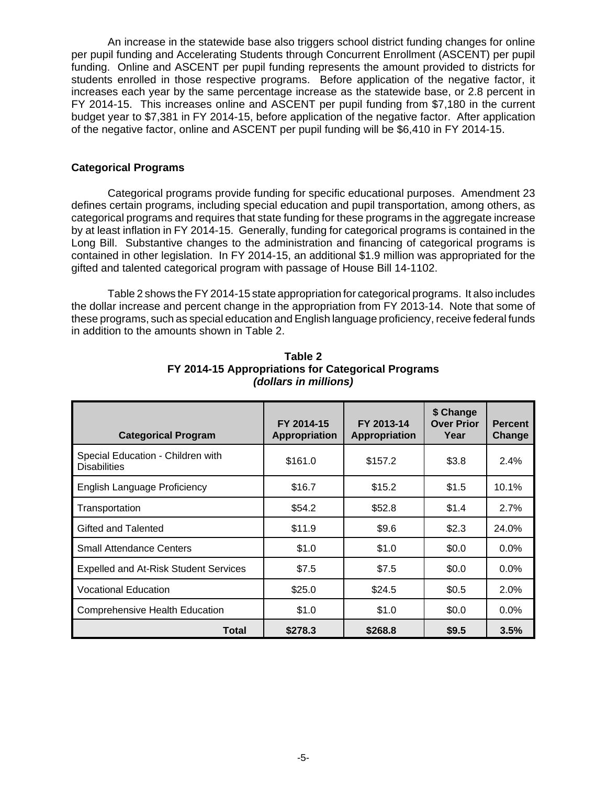An increase in the statewide base also triggers school district funding changes for online per pupil funding and Accelerating Students through Concurrent Enrollment (ASCENT) per pupil funding. Online and ASCENT per pupil funding represents the amount provided to districts for students enrolled in those respective programs. Before application of the negative factor, it increases each year by the same percentage increase as the statewide base, or 2.8 percent in FY 2014-15. This increases online and ASCENT per pupil funding from \$7,180 in the current budget year to \$7,381 in FY 2014-15, before application of the negative factor. After application of the negative factor, online and ASCENT per pupil funding will be \$6,410 in FY 2014-15.

## **Categorical Programs**

Categorical programs provide funding for specific educational purposes. Amendment 23 defines certain programs, including special education and pupil transportation, among others, as categorical programs and requires that state funding for these programs in the aggregate increase by at least inflation in FY 2014-15. Generally, funding for categorical programs is contained in the Long Bill. Substantive changes to the administration and financing of categorical programs is contained in other legislation. In FY 2014-15, an additional \$1.9 million was appropriated for the gifted and talented categorical program with passage of House Bill 14-1102.

Table 2 shows the FY 2014-15 state appropriation for categorical programs. It also includes the dollar increase and percent change in the appropriation from FY 2013-14. Note that some of these programs, such as special education and English language proficiency, receive federal funds in addition to the amounts shown in Table 2.

| <b>Categorical Program</b>                               | FY 2014-15<br>Appropriation | FY 2013-14<br><b>Appropriation</b> | \$ Change<br><b>Over Prior</b><br>Year | <b>Percent</b><br>Change |
|----------------------------------------------------------|-----------------------------|------------------------------------|----------------------------------------|--------------------------|
| Special Education - Children with<br><b>Disabilities</b> | \$161.0                     | \$157.2                            | \$3.8                                  | 2.4%                     |
| <b>English Language Proficiency</b>                      | \$16.7                      | \$15.2                             | \$1.5                                  | 10.1%                    |
| Transportation                                           | \$54.2                      | \$52.8                             | \$1.4                                  | 2.7%                     |
| Gifted and Talented                                      | \$11.9                      | \$9.6                              | \$2.3                                  | 24.0%                    |
| <b>Small Attendance Centers</b>                          | \$1.0                       | \$1.0                              | \$0.0                                  | $0.0\%$                  |
| <b>Expelled and At-Risk Student Services</b>             | \$7.5                       | \$7.5                              | \$0.0                                  | $0.0\%$                  |
| <b>Vocational Education</b>                              | \$25.0                      | \$24.5                             | \$0.5                                  | $2.0\%$                  |
| Comprehensive Health Education                           | \$1.0                       | \$1.0                              | \$0.0                                  | $0.0\%$                  |
| Total                                                    | \$278.3                     | \$268.8                            | \$9.5                                  | 3.5%                     |

**Table 2 FY 2014-15 Appropriations for Categorical Programs** *(dollars in millions)*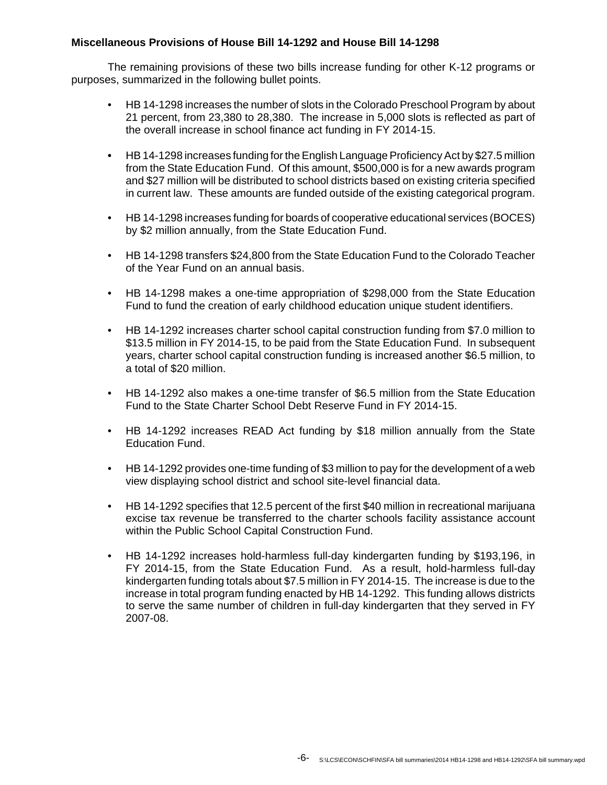## **Miscellaneous Provisions of House Bill 14-1292 and House Bill 14-1298**

The remaining provisions of these two bills increase funding for other K-12 programs or purposes, summarized in the following bullet points.

- HB 14-1298 increases the number of slots in the Colorado Preschool Program by about 21 percent, from 23,380 to 28,380. The increase in 5,000 slots is reflected as part of the overall increase in school finance act funding in FY 2014-15.
- **•** HB 14-1298 increases funding for the English Language Proficiency Act by \$27.5 million from the State Education Fund. Of this amount, \$500,000 is for a new awards program and \$27 million will be distributed to school districts based on existing criteria specified in current law. These amounts are funded outside of the existing categorical program.
- HB 14-1298 increases funding for boards of cooperative educational services (BOCES) by \$2 million annually, from the State Education Fund.
- HB 14-1298 transfers \$24,800 from the State Education Fund to the Colorado Teacher of the Year Fund on an annual basis.
- HB 14-1298 makes a one-time appropriation of \$298,000 from the State Education Fund to fund the creation of early childhood education unique student identifiers.
- HB 14-1292 increases charter school capital construction funding from \$7.0 million to \$13.5 million in FY 2014-15, to be paid from the State Education Fund. In subsequent years, charter school capital construction funding is increased another \$6.5 million, to a total of \$20 million.
- HB 14-1292 also makes a one-time transfer of \$6.5 million from the State Education Fund to the State Charter School Debt Reserve Fund in FY 2014-15.
- HB 14-1292 increases READ Act funding by \$18 million annually from the State Education Fund.
- HB 14-1292 provides one-time funding of \$3 million to pay for the development of a web view displaying school district and school site-level financial data.
- HB 14-1292 specifies that 12.5 percent of the first \$40 million in recreational marijuana excise tax revenue be transferred to the charter schools facility assistance account within the Public School Capital Construction Fund.
- HB 14-1292 increases hold-harmless full-day kindergarten funding by \$193,196, in FY 2014-15, from the State Education Fund. As a result, hold-harmless full-day kindergarten funding totals about \$7.5 million in FY 2014-15. The increase is due to the increase in total program funding enacted by HB 14-1292. This funding allows districts to serve the same number of children in full-day kindergarten that they served in FY 2007-08.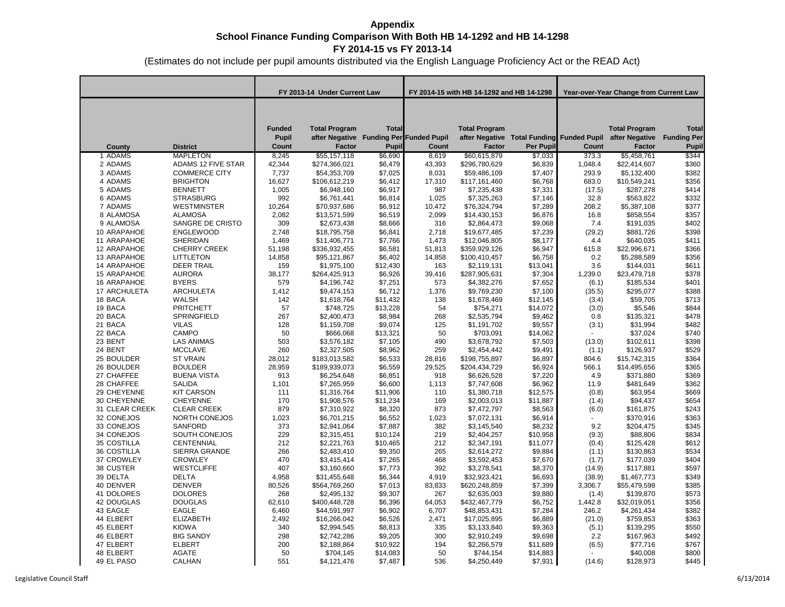|                    |                      | FY 2013-14 Under Current Law           |                                                                                  | FY 2014-15 with HB 14-1292 and HB 14-1298 |        |                                       | Year-over-Year Change from Current Law                 |         |                                                         |                                             |
|--------------------|----------------------|----------------------------------------|----------------------------------------------------------------------------------|-------------------------------------------|--------|---------------------------------------|--------------------------------------------------------|---------|---------------------------------------------------------|---------------------------------------------|
| County             | <b>District</b>      | <b>Funded</b><br><b>Pupil</b><br>Count | <b>Total Program</b><br>after Negative Funding Per Funded Pupil<br><b>Factor</b> | <b>Total</b><br>Pupil                     | Count  | <b>Total Program</b><br><b>Factor</b> | after Negative Total Funding Funded Pupil<br>Per Pupil | Count   | <b>Total Program</b><br>after Negative<br><b>Factor</b> | <b>Total</b><br><b>Funding Per</b><br>Pupil |
|                    |                      |                                        |                                                                                  |                                           |        |                                       |                                                        |         |                                                         |                                             |
| 1 ADAMS            | <b>MAPLETON</b>      | 8,245                                  | \$55,157,118                                                                     | \$6,690                                   | 8,619  | \$60,615,879                          | \$7,033                                                | 373.3   | \$5,458,761                                             | \$344                                       |
| 2 ADAMS            | ADAMS 12 FIVE STAR   | 42,344                                 | \$274,366,021                                                                    | \$6,479                                   | 43,393 | \$296,780,629                         | \$6,839                                                | 1,048.4 | \$22,414,607                                            | \$360                                       |
| 3 ADAMS            | <b>COMMERCE CITY</b> | 7,737                                  | \$54,353,709                                                                     | \$7,025                                   | 8,031  | \$59,486,109                          | \$7,407                                                | 293.9   | \$5,132,400                                             | \$382                                       |
| 4 ADAMS            | <b>BRIGHTON</b>      | 16,627                                 | \$106,612,219                                                                    | \$6,412                                   | 17,310 | \$117,161,460                         | \$6,768                                                | 683.0   | \$10,549,241                                            | \$356                                       |
| 5 ADAMS            | <b>BENNETT</b>       | 1,005                                  | \$6,948,160                                                                      | \$6,917                                   | 987    | \$7,235,438                           | \$7,331                                                | (17.5)  | \$287,278                                               | \$414                                       |
| 6 ADAMS            | <b>STRASBURG</b>     | 992                                    | \$6,761,441                                                                      | \$6,814                                   | 1,025  | \$7,325,263                           | \$7,146                                                | 32.8    | \$563,822                                               | \$332                                       |
| 7 ADAMS            | <b>WESTMINSTER</b>   | 10.264                                 | \$70,937,686                                                                     | \$6,912                                   | 10.472 | \$76,324,794                          | \$7,289                                                | 208.2   | \$5,387,108                                             | \$377                                       |
| 8 ALAMOSA          | <b>ALAMOSA</b>       | 2,082                                  | \$13,571,599                                                                     | \$6,519                                   | 2,099  | \$14,430,153                          | \$6,876                                                | 16.8    | \$858,554                                               | \$357                                       |
| 9 ALAMOSA          | SANGRE DE CRISTO     | 309                                    | \$2,673,438                                                                      | \$8,666                                   | 316    | \$2,864,473                           | \$9,068                                                | 7.4     | \$191,035                                               | \$402                                       |
| 10 ARAPAHOE        | <b>ENGLEWOOD</b>     | 2,748                                  | \$18,795,758                                                                     | \$6,841                                   | 2,718  | \$19,677,485                          | \$7,239                                                | (29.2)  | \$881,726                                               | \$398                                       |
| 11 ARAPAHOE        | <b>SHERIDAN</b>      | 1,469                                  | \$11,406,771                                                                     | \$7,766                                   | 1,473  | \$12,046,805                          | \$8,177                                                | 4.4     | \$640,035                                               | \$411                                       |
| 12 ARAPAHOE        | <b>CHERRY CREEK</b>  | 51,198                                 | \$336,932,455                                                                    | \$6,581                                   | 51,813 | \$359,929,126                         | \$6,947                                                | 615.8   | \$22,996,671                                            | \$366                                       |
| 13 ARAPAHOE        | <b>LITTLETON</b>     | 14,858                                 | \$95,121,867                                                                     | \$6,402                                   | 14,858 | \$100,410,457                         | \$6,758                                                | 0.2     | \$5,288,589                                             | \$356                                       |
| 14 ARAPAHOE        | <b>DEER TRAIL</b>    | 159                                    | \$1,975,100                                                                      | \$12,430                                  | 163    | \$2,119,131                           | \$13,041                                               | 3.6     | \$144,031                                               | \$611                                       |
| <b>15 ARAPAHOE</b> | <b>AURORA</b>        | 38.177                                 | \$264,425,913                                                                    | \$6,926                                   | 39,416 | \$287,905,631                         | \$7,304                                                | 1,239.0 | \$23,479,718                                            | \$378                                       |
| 16 ARAPAHOE        | <b>BYERS</b>         | 579                                    | \$4,196,742                                                                      | \$7,251                                   | 573    | \$4,382,276                           | \$7,652                                                | (6.1)   | \$185,534                                               | \$401                                       |
| 17 ARCHULETA       | <b>ARCHULETA</b>     | 1,412                                  | \$9,474,153                                                                      | \$6,712                                   | 1,376  | \$9,769,230                           | \$7,100                                                | (35.5)  | \$295,077                                               | \$388                                       |
| 18 BACA            | WALSH                | 142                                    | \$1,618,764                                                                      | \$11,432                                  | 138    | \$1,678,469                           | \$12,145                                               | (3.4)   | \$59,705                                                | \$713                                       |
| 19 BACA            | <b>PRITCHETT</b>     | 57                                     | \$748,725                                                                        | \$13,228                                  | 54     | \$754,271                             | \$14,072                                               | (3.0)   | \$5,546                                                 | \$844                                       |
| 20 BACA            | <b>SPRINGFIELD</b>   | 267                                    | \$2,400,473                                                                      | \$8,984                                   | 268    | \$2,535,794                           | \$9,462                                                | 0.8     | \$135,321                                               | \$478                                       |
| 21 BACA            | <b>VILAS</b>         | 128                                    | \$1,159,708                                                                      | \$9,074                                   | 125    | \$1,191,702                           | \$9,557                                                | (3.1)   | \$31,994                                                | \$482                                       |
| 22 BACA            | CAMPO                | 50                                     | \$666,068                                                                        | \$13,321                                  | 50     | \$703,091                             | \$14,062                                               |         | \$37,024                                                | \$740                                       |
| 23 BENT            | <b>LAS ANIMAS</b>    | 503                                    | \$3,576,182                                                                      | \$7,105                                   | 490    | \$3,678,792                           | \$7,503                                                | (13.0)  | \$102,611                                               | \$398                                       |
| 24 BENT            | <b>MCCLAVE</b>       | 260                                    | \$2,327,505                                                                      | \$8,962                                   | 259    | \$2,454,442                           | \$9,491                                                | (1.1)   | \$126,937                                               | \$529                                       |
| 25 BOULDER         | <b>ST VRAIN</b>      | 28,012                                 | \$183,013,582                                                                    | \$6,533                                   | 28,816 | \$198,755,897                         | \$6,897                                                | 804.6   | \$15,742,315                                            | \$364                                       |
| 26 BOULDER         | <b>BOULDER</b>       | 28,959                                 | \$189,939,073                                                                    | \$6,559                                   | 29,525 | \$204,434,729                         | \$6,924                                                | 566.1   | \$14,495,656                                            | \$365                                       |
| 27 CHAFFEE         | <b>BUENA VISTA</b>   | 913                                    | \$6,254,648                                                                      | \$6,851                                   | 918    | \$6,626,528                           | \$7,220                                                | 4.9     | \$371,880                                               | \$369                                       |
| 28 CHAFFEE         | <b>SALIDA</b>        | 1,101                                  | \$7,265,959                                                                      | \$6,600                                   | 1,113  | \$7,747,608                           | \$6,962                                                | 11.9    | \$481,649                                               | \$362                                       |
| 29 CHEYENNE        | <b>KIT CARSON</b>    | 111                                    | \$1,316,764                                                                      | \$11,906                                  | 110    | \$1,380,718                           | \$12,575                                               | (0.8)   | \$63,954                                                | \$669                                       |
| 30 CHEYENNE        | <b>CHEYENNE</b>      | 170                                    | \$1,908,576                                                                      | \$11,234                                  | 169    | \$2,003,013                           | \$11,887                                               | (1.4)   | \$94,437                                                | \$654                                       |
| 31 CLEAR CREEK     | <b>CLEAR CREEK</b>   | 879                                    | \$7,310,922                                                                      | \$8,320                                   | 873    | \$7,472,797                           | \$8,563                                                | (6.0)   | \$161,875                                               | \$243                                       |
| 32 CONEJOS         | <b>NORTH CONEJOS</b> | 1,023                                  | \$6,701,215                                                                      | \$6,552                                   | 1,023  | \$7,072,131                           | \$6,914                                                |         | \$370,916                                               | \$363                                       |
| 33 CONEJOS         | <b>SANFORD</b>       | 373                                    | \$2,941,064                                                                      | \$7.887                                   | 382    | \$3,145,540                           | \$8,232                                                | 9.2     | \$204,475                                               | \$345                                       |
| 34 CONEJOS         | SOUTH CONEJOS        | 229                                    | \$2,315,451                                                                      | \$10,124                                  | 219    | \$2,404,257                           | \$10,958                                               | (9.3)   | \$88,806                                                | \$834                                       |
| 35 COSTILLA        | CENTENNIAL           | 212                                    | \$2,221,763                                                                      | \$10,465                                  | 212    | \$2,347,191                           | \$11,077                                               | (0.4)   | \$125,428                                               | \$612                                       |
| 36 COSTILLA        | <b>SIERRA GRANDE</b> | 266                                    | \$2,483,410                                                                      | \$9,350                                   | 265    | \$2,614,272                           | \$9,884                                                | (1.1)   | \$130,863                                               | \$534                                       |
| 37 CROWLEY         | <b>CROWLEY</b>       | 470                                    | \$3,415,414                                                                      | \$7,265                                   | 468    | \$3,592,453                           | \$7,670                                                | (1.7)   | \$177,039                                               | \$404                                       |
| 38 CUSTER          | <b>WESTCLIFFE</b>    | 407                                    | \$3,160,660                                                                      | \$7,773                                   | 392    | \$3,278,541                           | \$8,370                                                | (14.9)  | \$117,881                                               | \$597                                       |
| 39 DELTA           | <b>DELTA</b>         | 4,958                                  | \$31,455,648                                                                     | \$6,344                                   | 4,919  | \$32,923,421                          | \$6,693                                                | (38.9)  | \$1,467,773                                             | \$349                                       |
| 40 DENVER          | <b>DENVER</b>        | 80,526                                 | \$564,769,260                                                                    | \$7,013                                   | 83,833 | \$620,248,859                         | \$7,399                                                | 3,306.7 | \$55,479,598                                            | \$385                                       |
| 41 DOLORES         | <b>DOLORES</b>       | 268                                    | \$2,495,132                                                                      | \$9,307                                   | 267    | \$2,635,003                           | \$9,880                                                | (1.4)   | \$139,870                                               | \$573                                       |
| 42 DOUGLAS         | <b>DOUGLAS</b>       | 62,610                                 | \$400,448,728                                                                    | \$6,396                                   | 64,053 | \$432,467,779                         | \$6,752                                                | 1,442.8 | \$32,019,051                                            | \$356                                       |
| 43 EAGLE           | EAGLE                | 6,460                                  | \$44,591,997                                                                     | \$6,902                                   | 6,707  | \$48,853,431                          | \$7,284                                                | 246.2   | \$4,261,434                                             | \$382                                       |
| 44 ELBERT          | <b>ELIZABETH</b>     | 2,492                                  | \$16,266,042                                                                     | \$6,526                                   | 2,471  | \$17,025,895                          | \$6,889                                                | (21.0)  | \$759,853                                               | \$363                                       |
| 45 ELBERT          | <b>KIOWA</b>         | 340                                    | \$2,994,545                                                                      | \$8,813                                   | 335    | \$3,133,840                           | \$9,363                                                | (5.1)   | \$139,295                                               | \$550                                       |
| 46 ELBERT          | <b>BIG SANDY</b>     | 298                                    | \$2,742,286                                                                      | \$9,205                                   | 300    | \$2,910,249                           | \$9,698                                                | 2.2     | \$167,963                                               | \$492                                       |
| 47 ELBERT          | <b>ELBERT</b>        | 200                                    | \$2,188,864                                                                      | \$10,922                                  | 194    | \$2,266,579                           | \$11,689                                               | (6.5)   | \$77,716                                                | \$767                                       |
| 48 ELBERT          | <b>AGATE</b>         | 50                                     | \$704,145                                                                        | \$14,083                                  | 50     | \$744,154                             | \$14,883                                               |         | \$40,008                                                | \$800                                       |
| 49 EL PASO         | CALHAN               | 551                                    | \$4,121,476                                                                      | \$7,487                                   | 536    | \$4,250,449                           | \$7,931                                                | (14.6)  | \$128,973                                               | \$445                                       |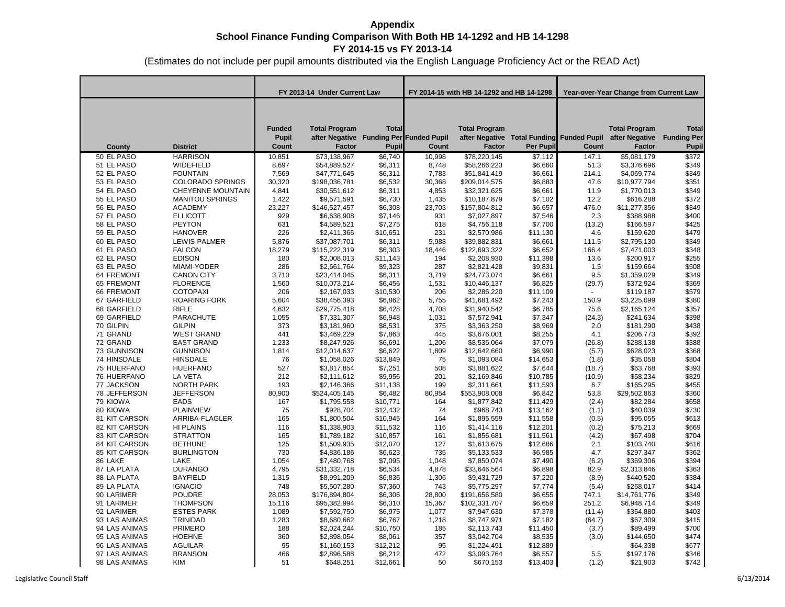|                            |                                    | FY 2013-14 Under Current Law           |                                                                           |                       | FY 2014-15 with HB 14-1292 and HB 14-1298 |                                |                     | Year-over-Year Change from Current Law |                                                                                            |                                             |  |
|----------------------------|------------------------------------|----------------------------------------|---------------------------------------------------------------------------|-----------------------|-------------------------------------------|--------------------------------|---------------------|----------------------------------------|--------------------------------------------------------------------------------------------|---------------------------------------------|--|
| County                     | <b>District</b>                    | <b>Funded</b><br><b>Pupil</b><br>Count | <b>Total Program</b><br>after Negative Funding Per Funded Pupil<br>Factor | <b>Total</b><br>Pupil | Count                                     | <b>Total Program</b><br>Factor | <b>Per Pupil</b>    | Count                                  | <b>Total Program</b><br>after Negative Total Funding Funded Pupil after Negative<br>Factor | <b>Total</b><br><b>Funding Per</b><br>Pupil |  |
| 50 EL PASO                 | <b>HARRISON</b>                    | 10,851                                 | \$73,138,967                                                              | \$6,740               | 10,998                                    | \$78,220,145                   | \$7,112             | 147.1                                  | \$5,081,179                                                                                | \$372                                       |  |
| 51 EL PASO                 | WIDEFIELD                          | 8,697                                  | \$54,889,527                                                              | \$6,311               | 8,748                                     | \$58,266,223                   | \$6,660             | 51.3                                   | \$3,376,696                                                                                | \$349                                       |  |
| 52 EL PASO                 | <b>FOUNTAIN</b>                    | 7,569                                  | \$47,771,645                                                              | \$6,311               | 7,783                                     | \$51,841,419                   | \$6,661             | 214.1                                  | \$4,069,774                                                                                | \$349                                       |  |
| 53 EL PASO                 | <b>COLORADO SPRINGS</b>            | 30,320                                 | \$198,036,781                                                             | \$6,532               | 30,368                                    | \$209,014,575                  | \$6,883             | 47.6                                   | \$10,977,794                                                                               | \$351                                       |  |
| 54 EL PASO                 | <b>CHEYENNE MOUNTAIN</b>           | 4,841                                  | \$30,551,612                                                              | \$6,311               | 4,853                                     | \$32,321,625                   | \$6,661             | 11.9                                   | \$1,770,013                                                                                | \$349                                       |  |
| 55 EL PASO                 | <b>MANITOU SPRINGS</b>             | 1,422                                  | \$9,571,591                                                               | \$6,730               | 1,435                                     | \$10,187,879                   | \$7,102             | 12.2                                   | \$616,288                                                                                  | \$372                                       |  |
| 56 EL PASO                 | <b>ACADEMY</b>                     | 23,227                                 | \$146,527,457                                                             | \$6,308               | 23,703                                    | \$157,804,812                  | \$6,657             | 476.0                                  | \$11,277,356                                                                               | \$349                                       |  |
| 57 EL PASO                 | <b>ELLICOTT</b>                    | 929                                    | \$6,638,908                                                               | \$7,146               | 931                                       | \$7,027,897                    | \$7,546             | 2.3                                    | \$388,988                                                                                  | \$400                                       |  |
| 58 EL PASO                 | <b>PEYTON</b>                      | 631                                    | \$4,589,521                                                               | \$7,275               | 618                                       | \$4,756,118                    | \$7,700             | (13.2)                                 | \$166,597                                                                                  | \$425                                       |  |
| 59 EL PASO                 | <b>HANOVER</b>                     | 226                                    | \$2,411,366                                                               | \$10,651              | 231                                       | \$2,570,986                    | \$11,130            | 4.6                                    | \$159,620                                                                                  | \$479                                       |  |
| 60 EL PASO                 | LEWIS-PALMER                       | 5,876                                  | \$37,087,701                                                              | \$6,311               | 5,988                                     | \$39,882,831                   | \$6,661             | 111.5                                  | \$2,795,130                                                                                | \$349                                       |  |
| 61 EL PASO                 | <b>FALCON</b>                      | 18,279                                 | \$115,222,319                                                             | \$6,303               | 18,446                                    | \$122,693,322                  | \$6,652             | 166.4                                  | \$7,471,003                                                                                | \$348                                       |  |
| 62 EL PASO                 | <b>EDISON</b>                      | 180                                    | \$2,008,013                                                               | \$11,143              | 194                                       | \$2,208,930                    | \$11,398            | 13.6                                   | \$200,917                                                                                  | \$255                                       |  |
| 63 EL PASO                 | MIAMI-YODER                        | 286                                    | \$2,661,764                                                               | \$9,323               | 287                                       | \$2,821,428                    | \$9,831             | 1.5                                    | \$159,664                                                                                  | \$508                                       |  |
| 64 FREMONT                 | <b>CANON CITY</b>                  | 3,710                                  | \$23,414,045                                                              | \$6,311               | 3,719                                     | \$24,773,074                   | \$6,661             | 9.5                                    | \$1,359,029                                                                                | \$349                                       |  |
| 65 FREMONT                 | <b>FLORENCE</b>                    | 1,560                                  | \$10,073,214                                                              | \$6,456               | 1,531                                     | \$10,446,137                   | \$6,825             | (29.7)                                 | \$372,924                                                                                  | \$369                                       |  |
| 66 FREMONT                 | <b>COTOPAXI</b>                    | 206                                    | \$2,167,033                                                               | \$10,530              | 206                                       | \$2,286,220                    | \$11,109            | $\sim$                                 | \$119,187                                                                                  | \$579                                       |  |
| 67 GARFIELD                | <b>ROARING FORK</b>                | 5,604                                  | \$38,456,393                                                              | \$6,862               | 5,755                                     | \$41,681,492                   | \$7,243             | 150.9                                  | \$3,225,099                                                                                | \$380                                       |  |
| 68 GARFIELD                | <b>RIFLE</b>                       | 4,632                                  | \$29,775,418                                                              | \$6,428               | 4,708                                     | \$31,940,542                   | \$6,785             | 75.6                                   | \$2,165,124                                                                                | \$357                                       |  |
| 69 GARFIELD                | PARACHUTE                          | 1,055                                  | \$7,331,307                                                               | \$6,948               | 1,031                                     | \$7,572,941                    | \$7,347             | (24.3)                                 | \$241,634                                                                                  | \$398                                       |  |
| 70 GILPIN                  | <b>GILPIN</b>                      | 373                                    | \$3,181,960                                                               | \$8,531               | 375                                       | \$3,363,250                    | \$8,969             | 2.0                                    | \$181,290                                                                                  | \$438                                       |  |
| 71 GRAND                   | <b>WEST GRAND</b>                  | 441                                    | \$3,469,229                                                               | \$7,863               | 445                                       | \$3,676,001                    | \$8,255             | 4.1                                    | \$206,773                                                                                  | \$392                                       |  |
| 72 GRAND                   | <b>EAST GRAND</b>                  | 1,233                                  | \$8,247,926                                                               | \$6,691               | 1,206                                     | \$8,536,064                    | \$7,079             | (26.8)                                 | \$288,138                                                                                  | \$388                                       |  |
| 73 GUNNISON                | <b>GUNNISON</b>                    | 1,814                                  | \$12,014,637                                                              | \$6,622               | 1,809<br>75                               | \$12,642,660                   | \$6,990             | (5.7)                                  | \$628,023                                                                                  | \$368<br>\$804                              |  |
| 74 HINSDALE<br>75 HUERFANO | <b>HINSDALE</b><br><b>HUERFANO</b> | 76                                     | \$1,058,026                                                               | \$13,849<br>\$7,251   | 508                                       | \$1,093,084                    | \$14,653<br>\$7,644 | (1.8)                                  | \$35,058                                                                                   | \$393                                       |  |
| 76 HUERFANO                | <b>LA VETA</b>                     | 527<br>212                             | \$3,817,854<br>\$2,111,612                                                | \$9,956               | 201                                       | \$3,881,622<br>\$2,169,846     | \$10,785            | (18.7)<br>(10.9)                       | \$63,768<br>\$58,234                                                                       | \$829                                       |  |
| 77 JACKSON                 | NORTH PARK                         | 193                                    | \$2,146,366                                                               | \$11,138              | 199                                       | \$2,311,661                    | \$11,593            | 6.7                                    | \$165,295                                                                                  | \$455                                       |  |
| 78 JEFFERSON               | <b>JEFFERSON</b>                   | 80,900                                 | \$524,405,145                                                             | \$6,482               | 80,954                                    | \$553,908,008                  | \$6,842             | 53.8                                   | \$29,502,863                                                                               | \$360                                       |  |
| 79 KIOWA                   | <b>EADS</b>                        | 167                                    | \$1,795,558                                                               | \$10,771              | 164                                       | \$1,877,842                    | \$11,429            | (2.4)                                  | \$82,284                                                                                   | \$658                                       |  |
| 80 KIOWA                   | <b>PLAINVIEW</b>                   | 75                                     | \$928,704                                                                 | \$12,432              | 74                                        | \$968,743                      | \$13,162            | (1.1)                                  | \$40,039                                                                                   | \$730                                       |  |
| 81 KIT CARSON              | ARRIBA-FLAGLER                     | 165                                    | \$1,800,504                                                               | \$10,945              | 164                                       | \$1,895,559                    | \$11,558            | (0.5)                                  | \$95,055                                                                                   | \$613                                       |  |
| 82 KIT CARSON              | <b>HI PLAINS</b>                   | 116                                    | \$1,338,903                                                               | \$11,532              | 116                                       | \$1,414,116                    | \$12,201            | (0.2)                                  | \$75,213                                                                                   | \$669                                       |  |
| 83 KIT CARSON              | <b>STRATTON</b>                    | 165                                    | \$1,789,182                                                               | \$10,857              | 161                                       | \$1,856,681                    | \$11,561            | (4.2)                                  | \$67,498                                                                                   | \$704                                       |  |
| 84 KIT CARSON              | <b>BETHUNE</b>                     | 125                                    | \$1,509,935                                                               | \$12,070              | 127                                       | \$1,613,675                    | \$12,686            | 2.1                                    | \$103,740                                                                                  | \$616                                       |  |
| 85 KIT CARSON              | <b>BURLINGTON</b>                  | 730                                    | \$4,836,186                                                               | \$6,623               | 735                                       | \$5,133,533                    | \$6,985             | 4.7                                    | \$297,347                                                                                  | \$362                                       |  |
| 86 LAKE                    | LAKE                               | 1,054                                  | \$7,480,768                                                               | \$7,095               | 1,048                                     | \$7,850,074                    | \$7,490             | (6.2)                                  | \$369,306                                                                                  | \$394                                       |  |
| 87 LA PLATA                | <b>DURANGO</b>                     | 4,795                                  | \$31,332,718                                                              | \$6,534               | 4,878                                     | \$33,646,564                   | \$6,898             | 82.9                                   | \$2,313,846                                                                                | \$363                                       |  |
| 88 LA PLATA                | <b>BAYFIELD</b>                    | 1,315                                  | \$8,991,209                                                               | \$6,836               | 1,306                                     | \$9,431,729                    | \$7,220             | (8.9)                                  | \$440,520                                                                                  | \$384                                       |  |
| 89 LA PLATA                | <b>IGNACIO</b>                     | 748                                    | \$5,507,280                                                               | \$7,360               | 743                                       | \$5,775,297                    | \$7,774             | (5.4)                                  | \$268,017                                                                                  | \$414                                       |  |
| 90 LARIMER                 | <b>POUDRE</b>                      | 28,053                                 | \$176,894,804                                                             | \$6,306               | 28,800                                    | \$191,656,580                  | \$6,655             | 747.1                                  | \$14,761,776                                                                               | \$349                                       |  |
| 91 LARIMER                 | <b>THOMPSON</b>                    | 15,116                                 | \$95,382,994                                                              | \$6,310               | 15,367                                    | \$102,331,707                  | \$6,659             | 251.2                                  | \$6,948,714                                                                                | \$349                                       |  |
| 92 LARIMER                 | <b>ESTES PARK</b>                  | 1,089                                  | \$7,592,750                                                               | \$6,975               | 1,077                                     | \$7,947,630                    | \$7,378             | (11.4)                                 | \$354,880                                                                                  | \$403                                       |  |
| 93 LAS ANIMAS              | <b>TRINIDAD</b>                    | 1,283                                  | \$8,680,662                                                               | \$6,767               | 1,218                                     | \$8,747,971                    | \$7,182             | (64.7)                                 | \$67,309                                                                                   | \$415                                       |  |
| 94 LAS ANIMAS              | <b>PRIMERO</b>                     | 188                                    | \$2,024,244                                                               | \$10,750              | 185                                       | \$2,113,743                    | \$11,450            | (3.7)                                  | \$89,499                                                                                   | \$700                                       |  |
| 95 LAS ANIMAS              | <b>HOEHNE</b>                      | 360                                    | \$2,898,054                                                               | \$8,061               | 357                                       | \$3,042,704                    | \$8,535             | (3.0)                                  | \$144,650                                                                                  | \$474                                       |  |
| 96 LAS ANIMAS              | <b>AGUILAR</b>                     | 95                                     | \$1,160,153                                                               | \$12,212              | 95                                        | \$1,224,491                    | \$12,889            |                                        | \$64,338                                                                                   | \$677                                       |  |
| 97 LAS ANIMAS              | <b>BRANSON</b>                     | 466                                    | \$2,896,588                                                               | \$6,212               | 472                                       | \$3,093,764                    | \$6,557             | 5.5                                    | \$197,176                                                                                  | \$346                                       |  |
| 98 LAS ANIMAS              | KIM                                | 51                                     | \$648,251                                                                 | \$12,661              | 50                                        | \$670,153                      | \$13,403            | (1.2)                                  | \$21,903                                                                                   | \$742                                       |  |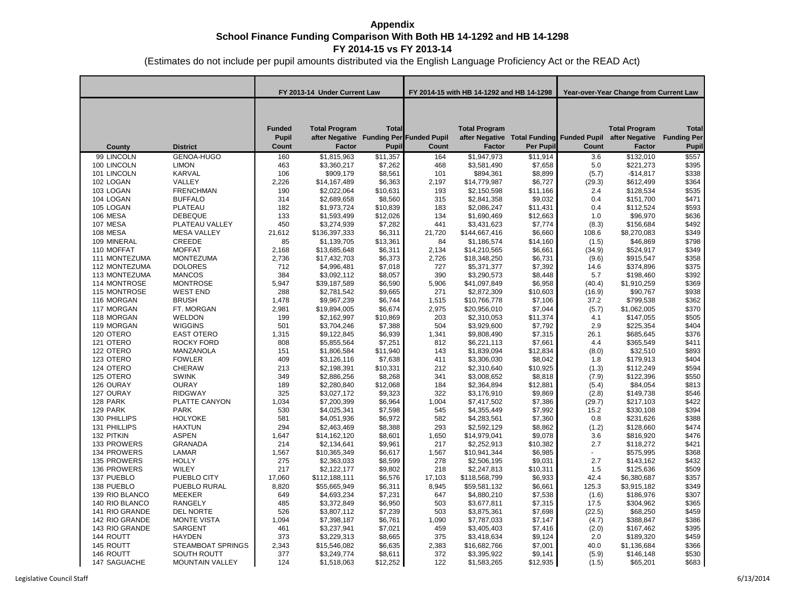|                |                        | FY 2013-14 Under Current Law           |                                                                                  |                       | FY 2014-15 with HB 14-1292 and HB 14-1298 |                                |           | Year-over-Year Change from Current Law |                                                                                            |                                                    |  |
|----------------|------------------------|----------------------------------------|----------------------------------------------------------------------------------|-----------------------|-------------------------------------------|--------------------------------|-----------|----------------------------------------|--------------------------------------------------------------------------------------------|----------------------------------------------------|--|
| County         | <b>District</b>        | <b>Funded</b><br><b>Pupil</b><br>Count | <b>Total Program</b><br>after Negative Funding Per Funded Pupil<br><b>Factor</b> | <b>Total</b><br>Pupil | Count                                     | <b>Total Program</b><br>Factor | Per Pupil | Count                                  | <b>Total Program</b><br>after Negative Total Funding Funded Pupil after Negative<br>Factor | <b>Total</b><br><b>Funding Per</b><br><b>Pupil</b> |  |
| 99 LINCOLN     | GENOA-HUGO             | 160                                    | \$1,815,963                                                                      | \$11,357              | 164                                       | \$1,947,973                    | \$11,914  | 3.6                                    | \$132,010                                                                                  | \$557                                              |  |
| 100 LINCOLN    | <b>LIMON</b>           | 463                                    | \$3,360,217                                                                      | \$7,262               | 468                                       | \$3,581,490                    | \$7,658   | 5.0                                    | \$221,273                                                                                  | \$395                                              |  |
| 101 LINCOLN    | KARVAL                 | 106                                    | \$909,179                                                                        | \$8,561               | 101                                       | \$894,361                      | \$8,899   | (5.7)                                  | $-$14,817$                                                                                 | \$338                                              |  |
| 102 LOGAN      | VALLEY                 | 2,226                                  | \$14,167,489                                                                     | \$6,363               | 2,197                                     | \$14,779,987                   | \$6,727   | (29.3)                                 | \$612,499                                                                                  | \$364                                              |  |
| 103 LOGAN      | <b>FRENCHMAN</b>       | 190                                    | \$2,022,064                                                                      | \$10,631              | 193                                       | \$2,150,598                    | \$11,166  | 2.4                                    | \$128,534                                                                                  | \$535                                              |  |
| 104 LOGAN      | <b>BUFFALO</b>         | 314                                    | \$2,689,658                                                                      | \$8,560               | 315                                       | \$2,841,358                    | \$9,032   | 0.4                                    | \$151,700                                                                                  | \$471                                              |  |
| 105 LOGAN      | PLATEAU                | 182                                    | \$1,973,724                                                                      | \$10,839              | 183                                       | \$2,086,247                    | \$11,431  | 0.4                                    | \$112,524                                                                                  | \$593                                              |  |
| 106 MESA       | <b>DEBEQUE</b>         | 133                                    | \$1,593,499                                                                      | \$12,026              | 134                                       | \$1,690,469                    | \$12,663  | 1.0                                    | \$96,970                                                                                   | \$636                                              |  |
| 107 MESA       | PLATEAU VALLEY         | 450                                    | \$3,274,939                                                                      | \$7,282               | 441                                       | \$3,431,623                    | \$7,774   | (8.3)                                  | \$156,684                                                                                  | \$492                                              |  |
| 108 MESA       | <b>MESA VALLEY</b>     | 21,612                                 | \$136,397,333                                                                    | \$6,311               | 21,720                                    | \$144,667,416                  | \$6,660   | 108.6                                  | \$8,270,083                                                                                | \$349                                              |  |
| 109 MINERAL    | CREEDE                 | 85                                     | \$1,139,705                                                                      | \$13,361              | 84                                        | \$1,186,574                    | \$14,160  | (1.5)                                  | \$46,869                                                                                   | \$798                                              |  |
| 110 MOFFAT     | <b>MOFFAT</b>          | 2,168                                  | \$13,685,648                                                                     | \$6,311               | 2,134                                     | \$14,210,565                   | \$6,661   | (34.9)                                 | \$524,917                                                                                  | \$349                                              |  |
| 111 MONTEZUMA  | <b>MONTEZUMA</b>       | 2,736                                  | \$17,432,703                                                                     | \$6,373               | 2,726                                     | \$18,348,250                   | \$6,731   | (9.6)                                  | \$915,547                                                                                  | \$358                                              |  |
| 112 MONTEZUMA  | <b>DOLORES</b>         | 712                                    | \$4,996,481                                                                      | \$7,018               | 727                                       | \$5,371,377                    | \$7,392   | 14.6                                   | \$374,896                                                                                  | \$375                                              |  |
| 113 MONTEZUMA  | <b>MANCOS</b>          | 384                                    | \$3,092,112                                                                      | \$8,057               | 390                                       | \$3,290,573                    | \$8,448   | 5.7                                    | \$198,460                                                                                  | \$392                                              |  |
| 114 MONTROSE   | <b>MONTROSE</b>        | 5,947                                  | \$39,187,589                                                                     | \$6,590               | 5,906                                     | \$41,097,849                   | \$6,958   | (40.4)                                 | \$1,910,259                                                                                | \$369                                              |  |
| 115 MONTROSE   | <b>WEST END</b>        | 288                                    | \$2,781,542                                                                      | \$9,665               | 271                                       | \$2,872,309                    | \$10,603  | (16.9)                                 | \$90,767                                                                                   | \$938                                              |  |
| 116 MORGAN     | <b>BRUSH</b>           | 1,478                                  | \$9,967,239                                                                      | \$6,744               | 1,515                                     | \$10,766,778                   | \$7,106   | 37.2                                   | \$799,538                                                                                  | \$362                                              |  |
| 117 MORGAN     | FT. MORGAN             | 2,981                                  | \$19,894,005                                                                     | \$6,674               | 2,975                                     | \$20,956,010                   | \$7,044   | (5.7)                                  | \$1,062,005                                                                                | \$370                                              |  |
| 118 MORGAN     | WELDON                 | 199                                    | \$2,162,997                                                                      | \$10,869              | 203                                       | \$2,310,053                    | \$11,374  | 4.1                                    | \$147,055                                                                                  | \$505                                              |  |
| 119 MORGAN     | <b>WIGGINS</b>         | 501                                    | \$3,704,246                                                                      | \$7,388               | 504                                       | \$3,929,600                    | \$7,792   | 2.9                                    | \$225,354                                                                                  | \$404                                              |  |
| 120 OTERO      | <b>EAST OTERO</b>      | 1,315                                  | \$9,122,845                                                                      | \$6,939               | 1,341                                     | \$9,808,490                    | \$7,315   | 26.1                                   | \$685,645                                                                                  | \$376                                              |  |
| 121 OTERO      | <b>ROCKY FORD</b>      | 808                                    | \$5,855,564                                                                      | \$7,251               | 812                                       | \$6,221,113                    | \$7,661   | 4.4                                    | \$365,549                                                                                  | \$411                                              |  |
| 122 OTERO      | MANZANOLA              | 151                                    | \$1,806,584                                                                      | \$11,940              | 143                                       | \$1,839,094                    | \$12,834  | (8.0)                                  | \$32,510                                                                                   | \$893                                              |  |
| 123 OTERO      | <b>FOWLER</b>          | 409                                    | \$3,126,116                                                                      | \$7,638               | 411                                       | \$3,306,030                    | \$8,042   | 1.8                                    | \$179,913                                                                                  | \$404                                              |  |
| 124 OTERO      | <b>CHERAW</b>          | 213                                    | \$2,198,391                                                                      | \$10,331              | 212                                       | \$2,310,640                    | \$10,925  | (1.3)                                  | \$112,249                                                                                  | \$594                                              |  |
| 125 OTERO      | <b>SWINK</b>           | 349                                    | \$2,886,256                                                                      | \$8,268               | 341                                       | \$3,008,652                    | \$8,818   | (7.9)                                  | \$122,396                                                                                  | \$550                                              |  |
| 126 OURAY      | <b>OURAY</b>           | 189                                    | \$2,280,840                                                                      | \$12,068              | 184                                       | \$2,364,894                    | \$12,881  | (5.4)                                  | \$84,054                                                                                   | \$813                                              |  |
| 127 OURAY      | <b>RIDGWAY</b>         | 325                                    | \$3,027,172                                                                      | \$9,323               | 322                                       | \$3,176,910                    | \$9,869   | (2.8)                                  | \$149,738                                                                                  | \$546                                              |  |
| 128 PARK       | PLATTE CANYON          | 1,034                                  | \$7,200,399                                                                      | \$6,964               | 1,004                                     | \$7,417,502                    | \$7,386   | (29.7)                                 | \$217,103                                                                                  | \$422                                              |  |
| 129 PARK       | <b>PARK</b>            | 530                                    | \$4,025,341                                                                      | \$7,598               | 545                                       | \$4,355,449                    | \$7,992   | 15.2                                   | \$330,108                                                                                  | \$394                                              |  |
| 130 PHILLIPS   | <b>HOLYOKE</b>         | 581                                    | \$4,051,936                                                                      | \$6,972               | 582                                       | \$4,283,561                    | \$7,360   | 0.8                                    | \$231,626                                                                                  | \$388                                              |  |
| 131 PHILLIPS   | <b>HAXTUN</b>          | 294                                    | \$2,463,469                                                                      | \$8,388               | 293                                       | \$2,592,129                    | \$8,862   | (1.2)                                  | \$128,660                                                                                  | \$474                                              |  |
| 132 PITKIN     | <b>ASPEN</b>           | 1,647                                  | \$14,162,120                                                                     | \$8,601               | 1,650                                     | \$14,979,041                   | \$9,078   | 3.6                                    | \$816,920                                                                                  | \$476                                              |  |
| 133 PROWERS    | <b>GRANADA</b>         | 214                                    | \$2,134,641                                                                      | \$9,961               | 217                                       | \$2,252,913                    | \$10,382  | 2.7                                    | \$118,272                                                                                  | \$421                                              |  |
| 134 PROWERS    | LAMAR                  | 1,567                                  | \$10,365,349                                                                     | \$6,617               | 1,567                                     | \$10,941,344                   | \$6,985   | $\mathcal{L}^{\pm}$                    | \$575,995                                                                                  | \$368                                              |  |
| 135 PROWERS    | <b>HOLLY</b>           | 275                                    | \$2,363,033                                                                      | \$8,599               | 278                                       | \$2,506,195                    | \$9,031   | 2.7                                    | \$143,162                                                                                  | \$432                                              |  |
| 136 PROWERS    | WILEY                  | 217                                    | \$2,122,177                                                                      | \$9,802               | 218                                       | \$2,247,813                    | \$10,311  | 1.5                                    | \$125,636                                                                                  | \$509                                              |  |
| 137 PUEBLO     | PUEBLO CITY            | 17,060                                 | \$112,188,111                                                                    | \$6,576               | 17,103                                    | \$118,568,799                  | \$6,933   | 42.4                                   | \$6,380,687                                                                                | \$357                                              |  |
| 138 PUEBLO     | PUEBLO RURAL           | 8,820                                  | \$55,665,949                                                                     | \$6,311               | 8,945                                     | \$59,581,132                   | \$6,661   | 125.3                                  | \$3,915,182                                                                                | \$349                                              |  |
| 139 RIO BLANCO | MEEKER                 | 649                                    | \$4,693,234                                                                      | \$7,231               | 647                                       | \$4,880,210                    | \$7,538   | (1.6)                                  | \$186,976                                                                                  | \$307                                              |  |
| 140 RIO BLANCO | <b>RANGELY</b>         | 485                                    | \$3,372,849                                                                      | \$6,950               | 503                                       | \$3,677,811                    | \$7,315   | 17.5                                   | \$304,962                                                                                  | \$365                                              |  |
| 141 RIO GRANDE | <b>DEL NORTE</b>       | 526                                    | \$3,807,112                                                                      | \$7,239               | 503                                       | \$3,875,361                    | \$7,698   | (22.5)                                 | \$68,250                                                                                   | \$459                                              |  |
| 142 RIO GRANDE | <b>MONTE VISTA</b>     | 1,094                                  | \$7,398,187                                                                      | \$6,761               | 1,090                                     | \$7,787,033                    | \$7,147   | (4.7)                                  | \$388,847                                                                                  | \$386                                              |  |
| 143 RIO GRANDE | SARGENT                | 461                                    | \$3,237,941                                                                      | \$7,021               | 459                                       | \$3,405,403                    | \$7,416   | (2.0)                                  | \$167,462                                                                                  | \$395                                              |  |
| 144 ROUTT      | <b>HAYDEN</b>          | 373                                    | \$3,229,313                                                                      | \$8,665               | 375                                       | \$3,418,634                    | \$9,124   | 2.0                                    | \$189,320                                                                                  | \$459                                              |  |
| 145 ROUTT      | STEAMBOAT SPRINGS      | 2,343                                  | \$15,546,082                                                                     | \$6,635               | 2,383                                     | \$16,682,766                   | \$7,001   | 40.0                                   | \$1,136,684                                                                                | \$366                                              |  |
| 146 ROUTT      | <b>SOUTH ROUTT</b>     | 377                                    | \$3,249,774                                                                      | \$8,611               | 372                                       | \$3,395,922                    | \$9,141   | (5.9)                                  | \$146,148                                                                                  | \$530                                              |  |
| 147 SAGUACHE   | <b>MOUNTAIN VALLEY</b> | 124                                    | \$1,518,063                                                                      | \$12,252              | 122                                       | \$1,583,265                    | \$12,935  | (1.5)                                  | \$65,201                                                                                   | \$683                                              |  |